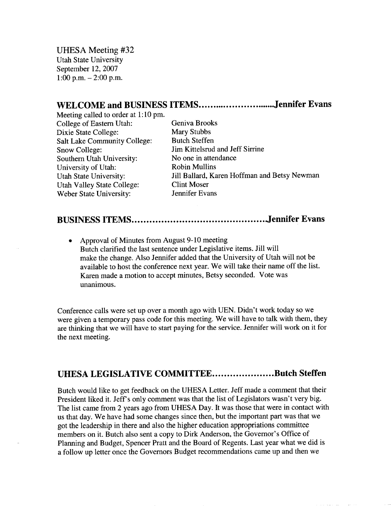UHESA Meeting #32 Utah State University September 12, 2007  $1:00$  p.m.  $-2:00$  p.m.

## WELCOME and BUSINESS ITEMS..............................Jennifer Evans

Meeting called to order at 1:10 pm. College of Eastern Utah: Geniva Brooks Dixie State College: Mary Stubbs Salt Lake Community College: Butch Steffen Snow College: Jim Kittelsrud and Jeff Sirrine Southern Utah University: No one in attendance University of Utah: Robin Mullins Utah Valley State College: Clint Moser Weber State University: Jennifer Evans

Utah State University: Jill Ballard, Karen Hoffman and Betsy Newman

## **BUSINESS ITEMS Jennifer Evans**

• Approval of Minutes from August 9-10 meeting Butch clarified the last sentence under Legislative items. Jill will make the change. Also Jennifer added that the University of Utah will not be available to host the conference next year. We will take their name off the list. Karen made a motion to accept minutes, Betsy seconded. Vote was unanimous.

Conference calls were set up over a month ago with UEN. Didn't work today so we were given a temporary pass code for this meeting. We will have to talk with them, they are thinking that we will have to start paying for the service. Jennifer will work on it for the next meeting.

## **UHESA LEGISLATIVE COMMITTEE....................Butch Steffen**

Butch would like to get feedback on the UHESA Letter. Jeff made a comment that their President liked it. Jeff's only comment was that the list of Legislators wasn't very big. The list came from 2 years ago from UHESA Day. It was those that were in contact with us that day. We have had some changes since then, but the important part was that we got the leadership in there and also the higher education appropriations committee members on it. Butch also sent a copy to Dirk Anderson, the Governor's Office of Planning and Budget, Spencer Pratt and the Board of Regents. Last year what we did is a follow up letter once the Governors Budget recommendations came up and then we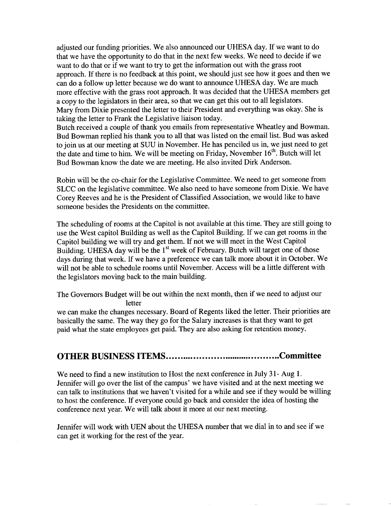adjusted our funding priorities. We also announced our UHESA day. If we want to do that we have the opportunity to do that in the next few weeks. We need to decide if we want to do that or if we want to try to get the information out with the grass root approach. If there is no feedback at this point, we should just see how it goes and then we can do a follow up letter because we do want to announce UHESA day. We are much more effective with the grass root approach. It was decided that the UHESA members get a copy to the legislators in their area, so that we can get this out to all legislators. Mary from Dixie presented the letter to their President and everything was okay. She is taking the letter to Frank the Legislative liaison today.

Butch received a couple of thank you emails from representative Wheatley and Bowman. Bud Bowman replied his thank you to all that was listed on the email list. Bud was asked to join us at our meeting at SUU in November. He has penciled us in, we just need to get the date and time to him. We will be meeting on Friday, November 16<sup>th</sup>. Butch will let Bud Bowman know the date we are meeting. He also invited Dirk Anderson.

Robin will be the co-chair for the Legislative Committee. We need to get someone from SLCC on the legislative committee. We also need to have someone from Dixie. We have Corey Reeves and he is the President of Classified Association, we would like to have someone besides the Presidents on the committee.

The scheduling of rooms at the Capitol is not available at this time. They are still going to use the West capitol Building as well as the Capitol Building. If we can get rooms in the Capitol building we will try and get them. If not we will meet in the West Capitol Building. UHESA day will be the 1<sup>st</sup> week of February. Butch will target one of those days during that week. If we have a preference we can talk more about it in October. We will not be able to schedule rooms until November. Access will be a little different with the legislators moving back to the main building.

The Governors Budget will be out within the next month, then if we need to adjust our letter

we can make the changes necessary. Board of Regents liked the letter. Their priorities are basically the same. The way they go for the Salary increases is that they want to get paid what the state employees get paid. They are also asking for retention money.

## **OTHER BUSINESS ITEMS Committee**

We need to find a new institution to Host the next conference in July 31- Aug 1. Jennifer will go over the list of the campus' we have visited and at the next meeting we can talk to institutions that we haven't visited for a while and see if they would be willing to host the conference. If everyone could go back and consider the idea of hosting the conference next year. We will talk about it more at our next meeting.

Jennifer will work with UEN about the UHESA number that we dial in to and see if we can get it working for the rest of the year.